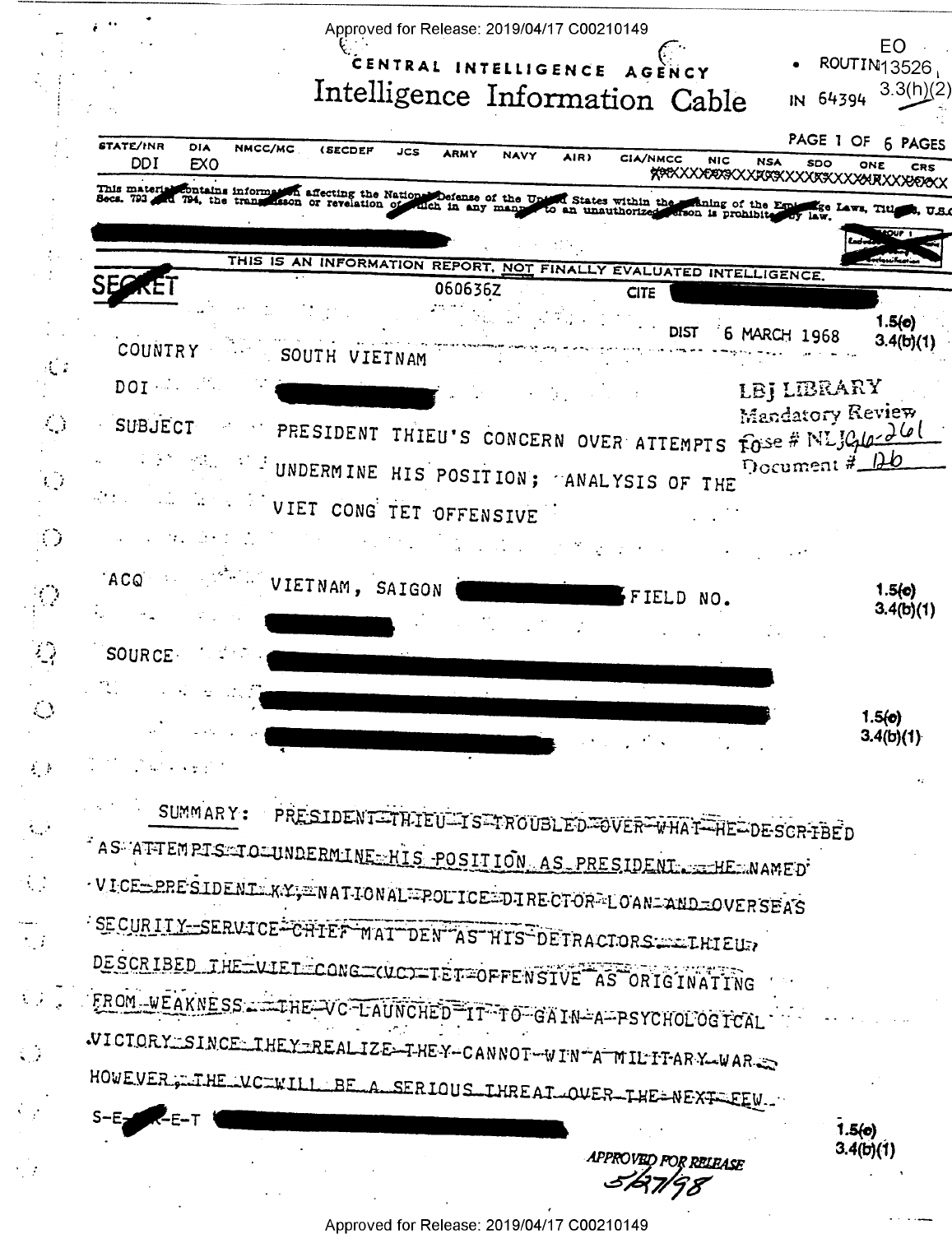|                                   | Approved for Release: 2019/04/17 C00210149                                                                                                                                                                                                  |                     |
|-----------------------------------|---------------------------------------------------------------------------------------------------------------------------------------------------------------------------------------------------------------------------------------------|---------------------|
|                                   | CENTRAL INTELLIGENCE<br>A G E                                                                                                                                                                                                               | EO<br>ROUTIN13526   |
|                                   | Intelligence Information Cable<br>IN 64394                                                                                                                                                                                                  | 3.3(h)(2)           |
|                                   | <b>STATE/INR</b><br>DIA<br>NMCC/MC<br><i><b>(SECDEF</b></i><br>JCS<br><b>ARMY</b>                                                                                                                                                           | PAGE 1 OF 6 PAGES   |
|                                   | <b>NAVY</b><br>AIR)<br><b>CIA/NMCC</b><br><b>NIC</b><br>DDI<br><b>NSA</b><br>EXO<br>SDO<br><b>XXXXXXXXXXXXXXXXXXXXXXXXXXXXXXXXX</b><br>This material                                                                                        | ONE<br>CRS          |
|                                   | det contains information affecting the Nations Defense of the Upton States within the staning of the Equipose Laws, Title (20 Laws, Title 1944, 1974). The contraction of revelation of culch in any many to an unauthorized a<br>Веся. 793 | 5, U.S.(            |
|                                   |                                                                                                                                                                                                                                             | <b>LOUP 1</b>       |
|                                   | THIS IS AN INFORMATION REPORT, NOT FINALLY EVALUATED INTELLIGENCE.<br>060636Z<br><b>CITE</b>                                                                                                                                                |                     |
|                                   | <b>DIST</b><br>6 MARCH 1968                                                                                                                                                                                                                 | 1.5(e)              |
|                                   | COUNTRY :<br>SOUTH VIETNAM                                                                                                                                                                                                                  | 3.4(b)(1)           |
|                                   | DOI NAME<br>LBJ LIBRARY                                                                                                                                                                                                                     |                     |
|                                   | Mandatory Review<br>SUBJECT<br>PRESIDENT THIEU'S CONCERN OVER ATTEMPTS FOSE # NLJC10-26                                                                                                                                                     |                     |
|                                   | Document $\frac{\# \Box b}{\Box b}$<br>$\mathbb{R}^{d_{\text{max}}}$ : I UNDERMINE HIS POSITION; ANALYSIS OF THE                                                                                                                            |                     |
|                                   | VIET CONG TET OFFENSIVE                                                                                                                                                                                                                     |                     |
|                                   |                                                                                                                                                                                                                                             |                     |
|                                   | ACQ<br>VIETNAM, SAIGON<br>FIELD NO.                                                                                                                                                                                                         | 1.5(c)              |
|                                   |                                                                                                                                                                                                                                             | 3.4(b)(1)           |
| ं्रे                              | SOURCE.                                                                                                                                                                                                                                     |                     |
|                                   |                                                                                                                                                                                                                                             |                     |
| $\bigcirc$                        |                                                                                                                                                                                                                                             | 1.5(0)<br>3.4(b)(1) |
| $\mathcal{L} \subset \mathcal{P}$ |                                                                                                                                                                                                                                             |                     |
|                                   | <b>SUMMARY:</b><br>PRESIDENT=THIEU=TS=TROUBLED=OVER=WHAT=HE=DESCR-FBED                                                                                                                                                                      |                     |
|                                   | AS A THEMPTS TO JUNDERMINE HIS POSITION AS PRESIDENT A THEMAMED                                                                                                                                                                             |                     |
| $\mathcal{L}_{\mathcal{A}}$       | VICE=PRESIDENI KY; INATIONAL POLICE=DIRECTOR LOAN=AND=OVERSEAS                                                                                                                                                                              |                     |
|                                   | SECURITY-SERVICE-CHIEF MAT DEN AS HIS DETRACTORS. LETHELL?                                                                                                                                                                                  |                     |
| $\mathcal{L}_{\mathcal{A}}$       | DESCRIBED THE UIET CONG CUCO TET OFFENSIVE AS ORIGINATING                                                                                                                                                                                   |                     |
| $\mathcal{L} \subset \mathcal{L}$ | FROM WEAKNESS TIHE VC LAUNCHED IT TO GAIN-A PSYCHOLOGICAL                                                                                                                                                                                   |                     |
|                                   | WICTORY SINCE THEY REALIZE THEY CANNOT WINTA MILITARY WAR                                                                                                                                                                                   |                     |
| $\mathbb{Z}^2$                    |                                                                                                                                                                                                                                             |                     |
|                                   | HOWEVER FILTHE LUCTWILL BE A SERIOUS IHREAT OVER THE NEXT FEU                                                                                                                                                                               |                     |
|                                   | APPROVED FOR RELEASE                                                                                                                                                                                                                        | 1.5(0)<br>3.4(b)(1) |

 $\frac{1}{\sqrt{2}}$ 

 $\frac{1}{\sqrt{2}}\left(\frac{1}{\sqrt{2}}\right)^{\frac{1}{2}}$ 

 $\frac{1}{2}$ 

 $\ddot{\phantom{a}}$ 

Approved for Release: 2019/04/17 C00210149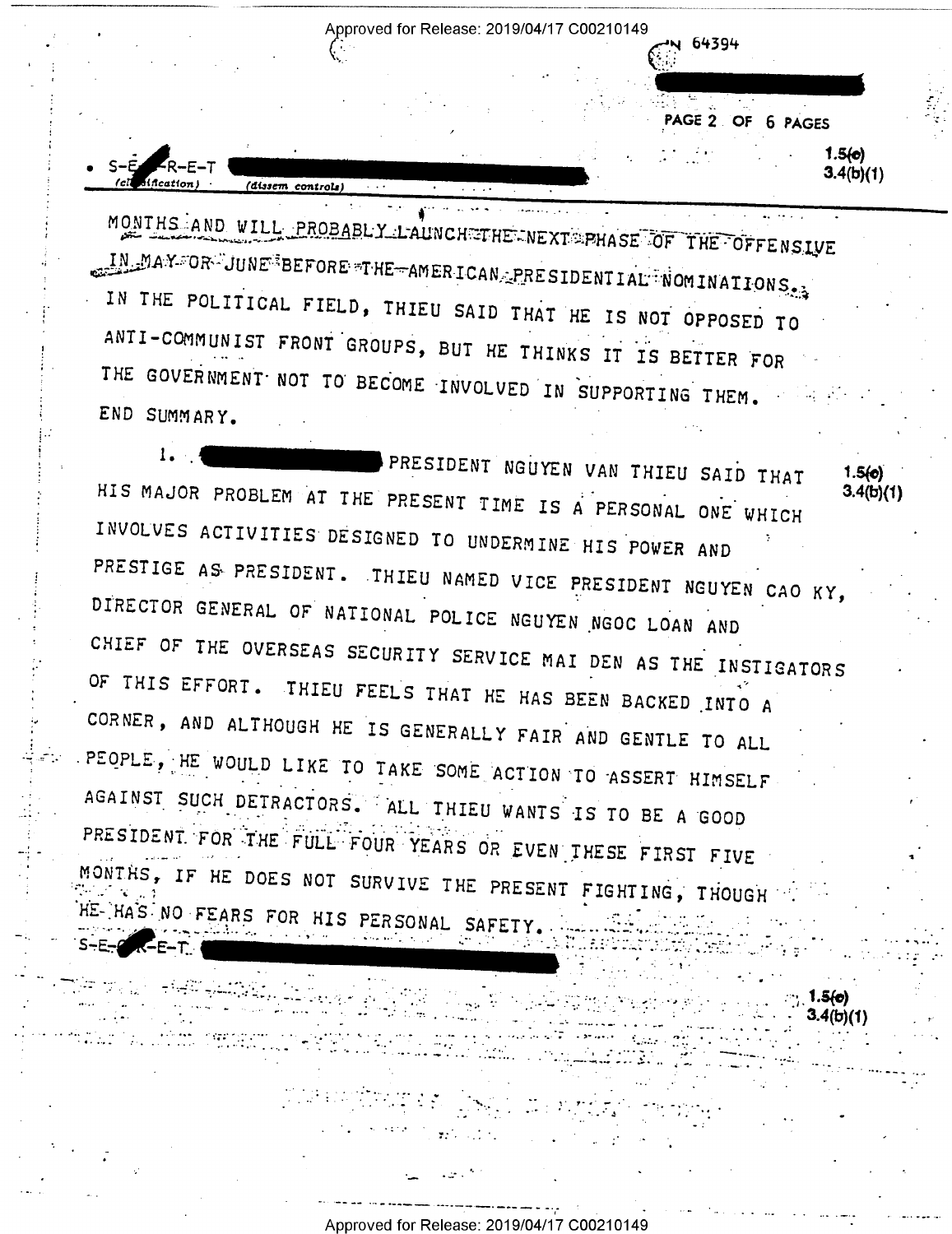Approved for Release: 2019/04/17 C00210149

PAGE 2 OF 6 PAGES  $1.5(e)$  $3.4(b)(1)$ 

> $\therefore$  1.5(c) 3.4(b)(1)

N 64394

MONTHS AND WILL PROBABLY LAUNCHETHE NEXT PHASE OF THE OFFENSIVE IN MAY OR JUNE BEFORE THE AMERICAN PRESIDENTIAL NOMINATIONS. IN THE POLITICAL FIELD, THIEU SAID THAT HE IS NOT OPPOSED TO ANTI-COMMUNIST FRONT GROUPS, BUT HE THINKS IT IS BETTER FOR THE GOVERNMENT NOT TO BECOME INVOLVED IN SUPPORTING THEM. END SUMMARY.

(dissem controls)

K-E-T .

 $1.1$ PRESIDENT NGUYEN VAN THIEU SAID THAT  $1.5(0)$ HIS MAJOR PROBLEM AT THE PRESENT TIME IS A PERSONAL ONE WHICH  $3.4(b)(1)$ INVOLVES ACTIVITIES DESIGNED TO UNDERMINE HIS POWER AND PRESTIGE AS PRESIDENT. THIEU NAMED VICE PRESIDENT NGUYEN CAO KY, DIRECTOR GENERAL OF NATIONAL POLICE NGUYEN NGOC LOAN AND CHIEF OF THE OVERSEAS SECURITY SERVICE MAI DEN AS THE INSTIGATORS OF THIS EFFORT. THIEU FEELS THAT HE HAS BEEN BACKED INTO A CORNER, AND ALTHOUGH HE IS GENERALLY FAIR AND GENTLE TO ALL . PEOPLE, HE WOULD LIKE TO TAKE SOME ACTION TO ASSERT HIMSELF AGAINST SUCH DETRACTORS. ALL THIEU WANTS IS TO BE A GOOD PRESIDENT FOR THE FULL FOUR YEARS OR EVEN THESE FIRST FIVE MONTRS, IF HE DOES NOT SURVIVE THE PRESENT FIGHTING, THOUGH HE-HAS NO FEARS FOR HIS PERSONAL SAFETY.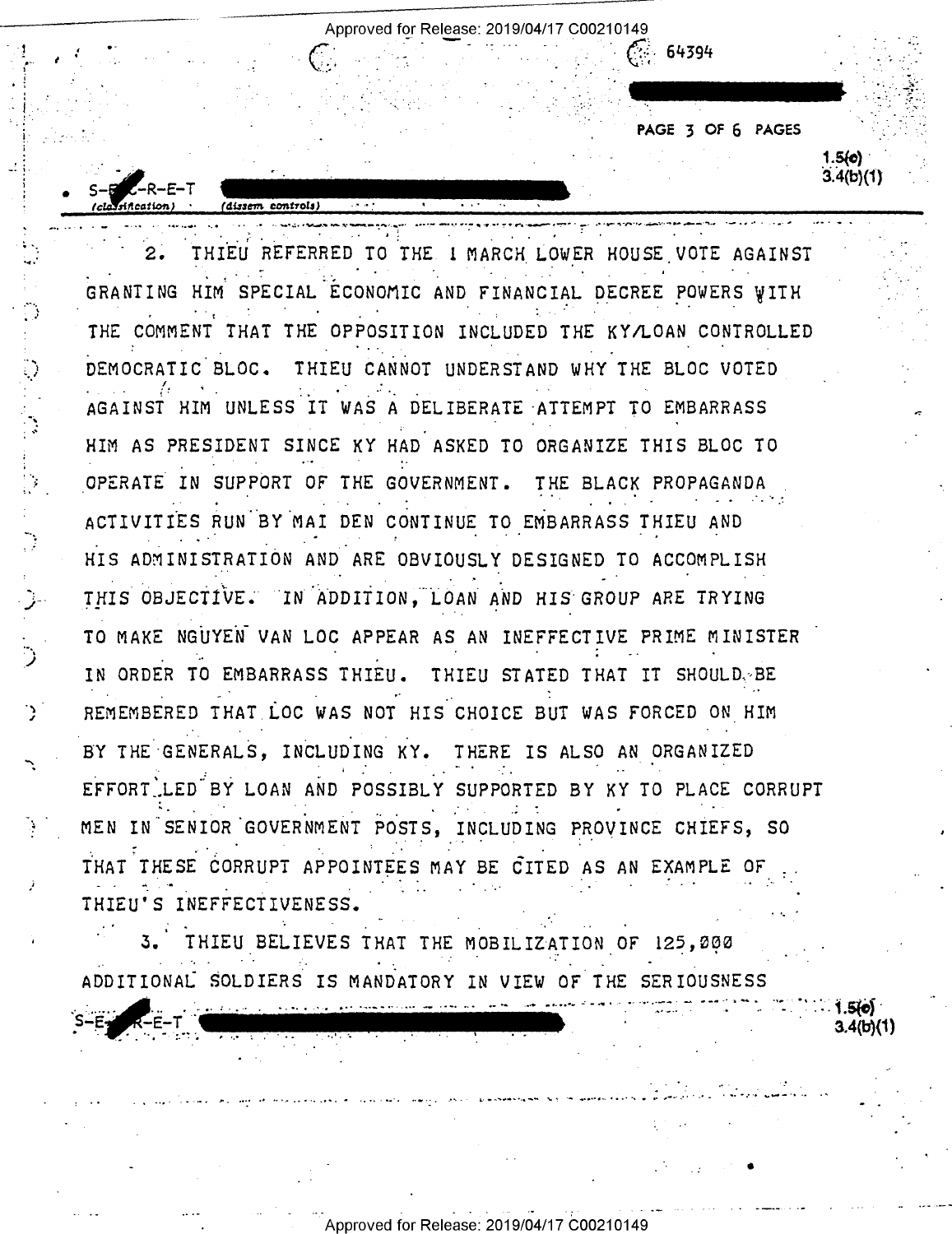PAGE 3 OF 6 PAGES  $1.5($ c $)$ 

 $3.4(b)(1)$ 

 $-64394$ 

THIEU REFERRED TO THE I MARCH LOWER HOUSE VOTE AGAINST  $2.1$ GRANTING HIM SPECIAL ECONOMIC AND FINANCIAL DECREE POWERS WITH THE COMMENT THAT THE OPPOSITION INCLUDED THE KY/LOAN CONTROLLED DEMOCRATIC BLOC. THIEU CANNOT UNDERSTAND WHY THE BLOC VOTED AGAINST HIM UNLESS IT WAS A DELIBERATE ATTEMPT TO EMBARRASS HIM AS PRESIDENT SINCE KY HAD ASKED TO ORGANIZE THIS BLOC TO OPERATE IN SUPPORT OF THE GOVERNMENT. THE BLACK PROPAGANDA ACTIVITIES RUN BY MAI DEN CONTINUE TO EMBARRASS THIEU AND HIS ADMINISTRATION AND ARE OBVIOUSLY DESIGNED TO ACCOMPLISH THIS OBJECTIVE. IN ADDITION, LOAN AND HIS GROUP ARE TRYING TO MAKE NGUYEN VAN LOC APPEAR AS AN INEFFECTIVE PRIME MINISTER IN ORDER TO EMBARRASS THIEU. THIEU STATED THAT IT SHOULD. BE REMEMBERED THAT LOC WAS NOT HIS CHOICE BUT WAS FORCED ON HIM BY THE GENERALS, INCLUDING KY. THERE IS ALSO AN ORGANIZED EFFORT LED BY LOAN AND POSSIBLY SUPPORTED BY KY TO PLACE CORRUPT MEN IN SENIOR GOVERNMENT POSTS, INCLUDING PROVINCE CHIEFS, SO THAT THESE CORRUPT APPOINTEES MAY BE CITED AS AN EXAMPLE OF THIEU'S INEFFECTIVENESS.

Approved for Release: 2019/04/17 C00210149

THIEU BELIEVES THAT THE MOBILIZATION OF 125, 202 ADDITIONAL SOLDIERS IS MANDATORY IN VIEW OF THE SERIOUSNESS

3.4/bV1'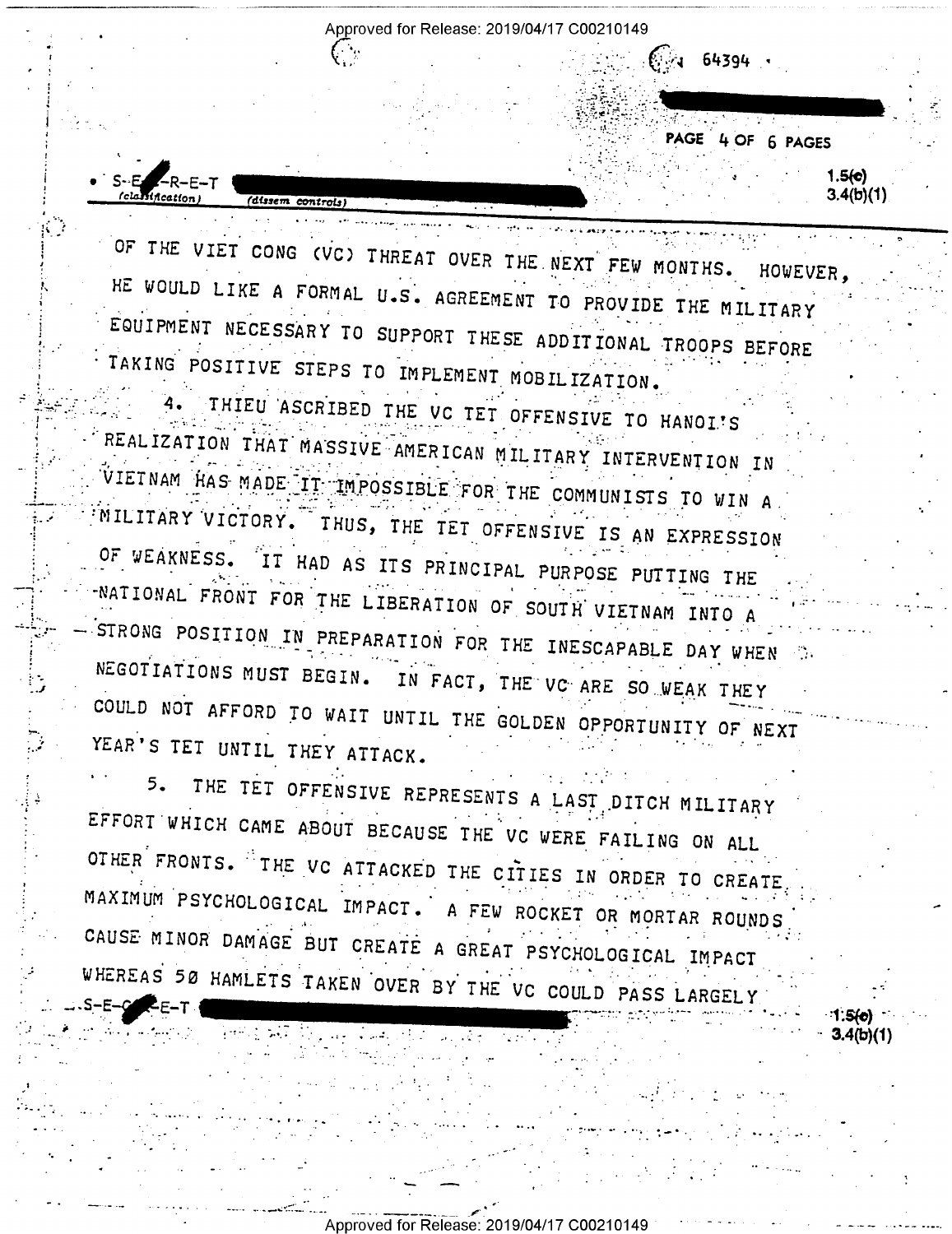Approved for Release: 2019/04/17 C00210149

64394

PAGE 4 OF 6 PAGES

1.5(c)  $3.4(b)(1)$ 

OF THE VIET CONG (VC) THREAT OVER THE NEXT FEW MONTHS. HOWEVER, HE WOULD LIKE A FORMAL U.S. AGREEMENT TO PROVIDE THE MILITARY EQUIPMENT NECESSARY TO SUPPORT THESE ADDITIONAL TROOPS BEFORE TAKING POSITIVE STEPS TO IMPLEMENT MOBILIZATION.

(dissem controls)

THIEU ASCRIBED THE VC TET OFFENSIVE TO HANOI'S REALIZATION THAT MASSIVE AMERICAN MILITARY INTERVENTION IN VIETNAM HAS MADE IT IMPOSSIBLE FOR THE COMMUNISTS TO WIN A MILITARY VICTORY. THUS, THE TET OFFENSIVE IS AN EXPRESSION OF WEAKNESS. IT HAD AS ITS PRINCIPAL PURPOSE PUTTING THE NATIONAL FRONT FOR THE LIBERATION OF SOUTH VIETNAM INTO A STRONG POSITION IN PREPARATION FOR THE INESCAPABLE DAY WHEN NEGOTIATIONS MUST BEGIN. IN FACT, THE VC ARE SO WEAK THEY COULD NOT AFFORD TO WAIT UNTIL THE GOLDEN OPPORTUNITY OF NEXT YEAR'S TET UNTIL THEY ATTACK.

THE TET OFFENSIVE REPRESENTS A LAST DITCH MILITARY  $5<sub>1</sub>$ EFFORT WHICH CAME ABOUT BECAUSE THE VC WERE FAILING ON ALL OTHER FRONTS. THE VC ATTACKED THE CITIES IN ORDER TO CREATE MAXIMUM PSYCHOLOGICAL IMPACT. A FEW ROCKET OR MORTAR ROUNDS CAUSE MINOR DAMAGE BUT CREATE A GREAT PSYCHOLOGICAL IMPACT WHEREAS 50 HAMLETS TAKEN OVER BY THE VC COULD PASS LARGELY

3.4(b)(1)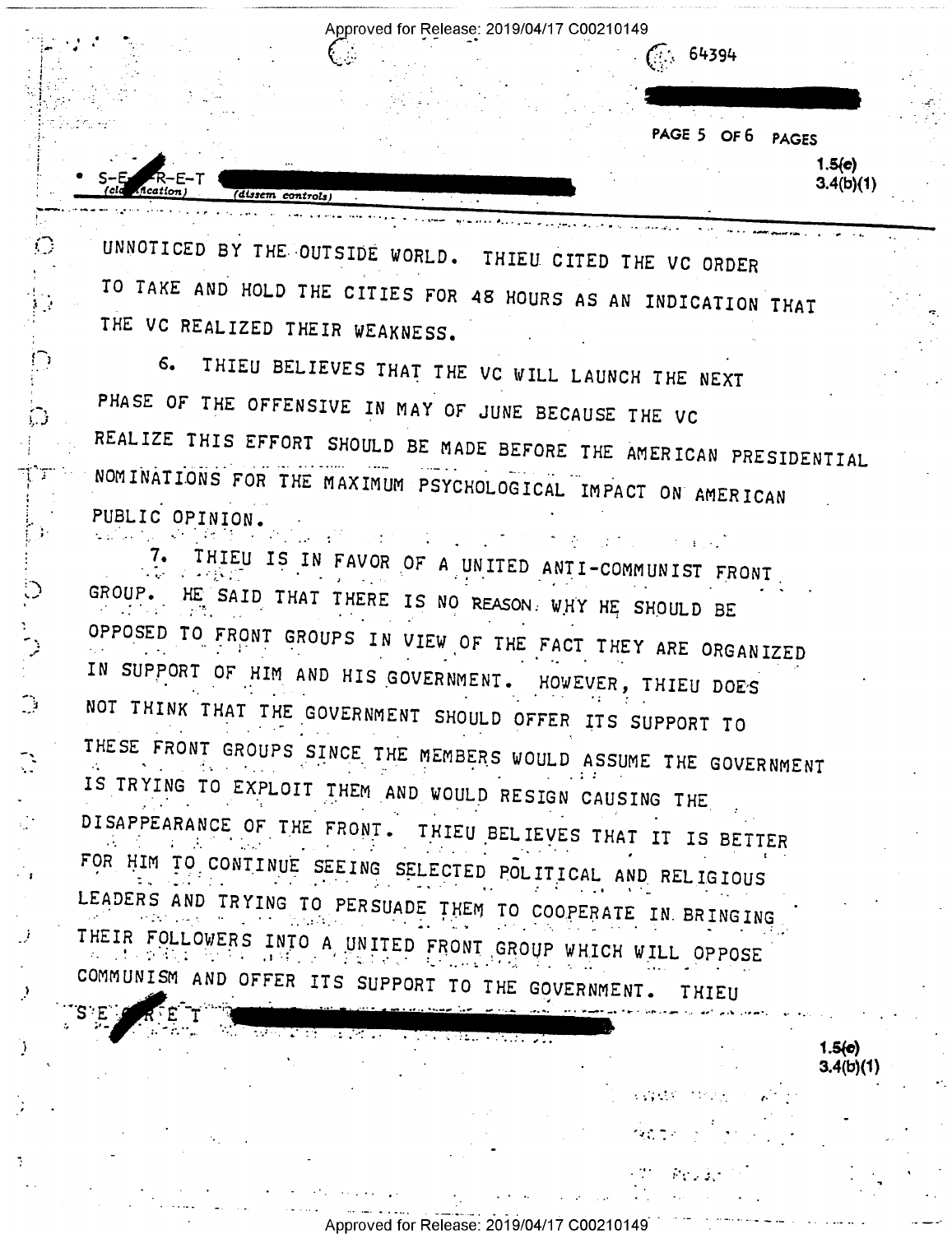Approved for Release: 2019/04/17 C00210149

يدام أحادياها الميسح للبراها السابي لألبه فالمعالم والواد الشبيح

64394

PAGE 5 OF 6 PAGES

 $1.5(e)$  $3.4(b)(1)$ 

 $1.5(c)$  $3.4(b)(1)$ 

 $\mathcal{L}^{\text{max}}_{\text{max}}$ 

つきこう

UNNOTICED BY THE OUTSIDE WORLD. THIEU CITED THE VC ORDER TO TAKE AND HOLD THE CITIES FOR 48 HOURS AS AN INDICATION THAT THE VC REALIZED THEIR WEAKNESS.

(dissem controls)

 $\bigcirc$ 

 $\bigcirc$ 

़

THIEU BELIEVES THAT THE VC WILL LAUNCH THE NEXT  $6.$ PHASE OF THE OFFENSIVE IN MAY OF JUNE BECAUSE THE VC REALIZE THIS EFFORT SHOULD BE MADE BEFORE THE AMERICAN PRESIDENTIAL NOMINATIONS FOR THE MAXIMUM PSYCHOLOGICAL IMPACT ON AMERICAN PUBLIC OPINION.

THIEU IS IN FAVOR OF A UNITED ANTI-COMMUNIST FRONT 7. GROUP. HE SAID THAT THERE IS NO REASON. WHY HE SHOULD BE OPPOSED TO FRONT GROUPS IN VIEW OF THE FACT THEY ARE ORGANIZED IN SUPPORT OF HIM AND HIS GOVERNMENT. HOWEVER, THIEU DOES NOT THINK THAT THE GOVERNMENT SHOULD OFFER ITS SUPPORT TO THESE FRONT GROUPS SINCE THE MEMBERS WOULD ASSUME THE GOVERNMENT IS TRYING TO EXPLOIT THEM AND WOULD RESIGN CAUSING THE DISAPPEARANCE OF THE FRONT. THIEU BELIEVES THAT IT IS BETTER FOR HIM TO CONTINUE SEEING SELECTED POLITICAL AND RELIGIOUS LEADERS AND TRYING TO PERSUADE THEM TO COOPERATE IN BRINGING THEIR FOLLOWERS INTO A UNITED FRONT GROUP WHICH WILL OPPOSE COMMUNISM AND OFFER ITS SUPPORT TO THE GOVERNMENT. THIEU

स्क्रिया जिल्लामा पुरुष प्रस

Approved for Release: 2019/04/17 C00210149